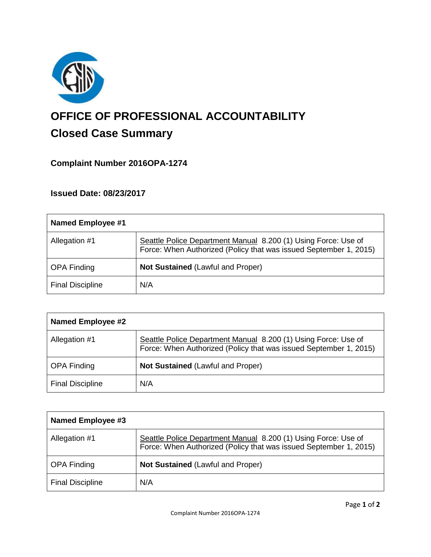

# **OFFICE OF PROFESSIONAL ACCOUNTABILITY Closed Case Summary**

## **Complaint Number 2016OPA-1274**

### **Issued Date: 08/23/2017**

| <b>Named Employee #1</b> |                                                                                                                                     |
|--------------------------|-------------------------------------------------------------------------------------------------------------------------------------|
| Allegation #1            | Seattle Police Department Manual 8.200 (1) Using Force: Use of<br>Force: When Authorized (Policy that was issued September 1, 2015) |
| <b>OPA Finding</b>       | <b>Not Sustained (Lawful and Proper)</b>                                                                                            |
| <b>Final Discipline</b>  | N/A                                                                                                                                 |

| <b>Named Employee #2</b> |                                                                                                                                     |
|--------------------------|-------------------------------------------------------------------------------------------------------------------------------------|
| Allegation #1            | Seattle Police Department Manual 8.200 (1) Using Force: Use of<br>Force: When Authorized (Policy that was issued September 1, 2015) |
| <b>OPA Finding</b>       | <b>Not Sustained (Lawful and Proper)</b>                                                                                            |
| <b>Final Discipline</b>  | N/A                                                                                                                                 |

| Named Employee #3       |                                                                                                                                     |
|-------------------------|-------------------------------------------------------------------------------------------------------------------------------------|
| Allegation #1           | Seattle Police Department Manual 8.200 (1) Using Force: Use of<br>Force: When Authorized (Policy that was issued September 1, 2015) |
| <b>OPA Finding</b>      | <b>Not Sustained (Lawful and Proper)</b>                                                                                            |
| <b>Final Discipline</b> | N/A                                                                                                                                 |